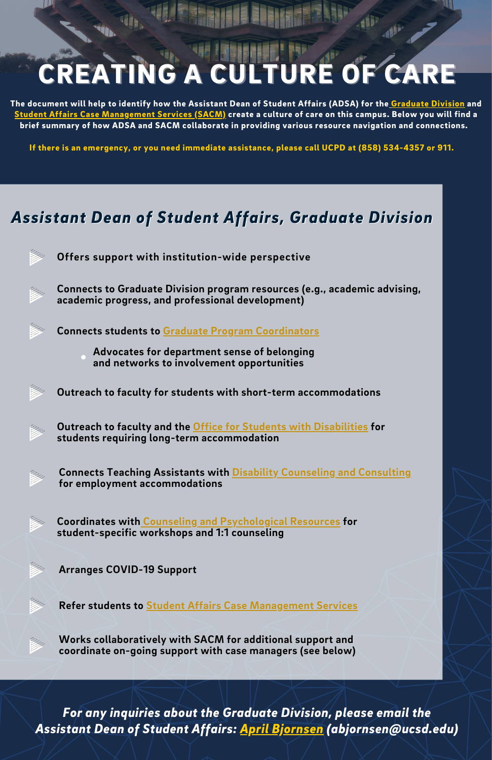## CREATING A CULTURE OF CARE

The document will help to identify how the Assistant Dean of Student Affairs (ADSA) for the [Graduate](https://grad.ucsd.edu/) Division and Student Affairs Case [Management](https://vcsa.ucsd.edu/case-management/index.html) Services (SACM) create a culture of care on this campus. Below you will find a brief summary of how ADSA and SACM collaborate in providing various resource navigation and connections.

If there is an emergency, or you need immediate assistance, please call UCPD at (858) 534-4357 or 911.

## *Assistant Dean of Student Affairs, Graduate Division*



*For any inquiries about the Graduate Division, please email the Assistant Dean of Student Affairs: April [Bjornsen](mailto:abjornsen@ucsd.edu) [\(abjornsen@ucsd.edu\)](mailto:abjornsen@ucsd.edu)*